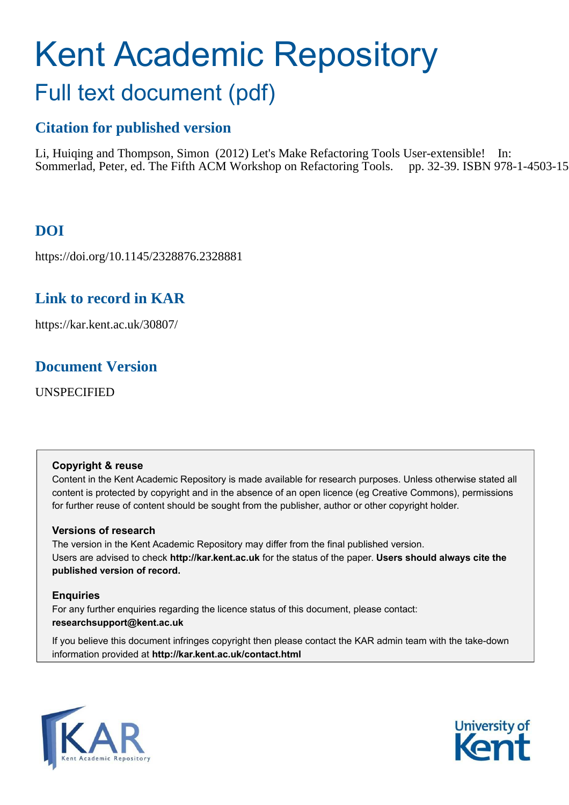# Kent Academic Repository Full text document (pdf)

## **Citation for published version**

Li, Huiqing and Thompson, Simon (2012) Let's Make Refactoring Tools User-extensible! In: Sommerlad, Peter, ed. The Fifth ACM Workshop on Refactoring Tools. pp. 32-39. ISBN 978-1-4503-15

## **DOI**

https://doi.org/10.1145/2328876.2328881

## **Link to record in KAR**

https://kar.kent.ac.uk/30807/

## **Document Version**

UNSPECIFIED

#### **Copyright & reuse**

Content in the Kent Academic Repository is made available for research purposes. Unless otherwise stated all content is protected by copyright and in the absence of an open licence (eg Creative Commons), permissions for further reuse of content should be sought from the publisher, author or other copyright holder.

#### **Versions of research**

The version in the Kent Academic Repository may differ from the final published version. Users are advised to check **http://kar.kent.ac.uk** for the status of the paper. **Users should always cite the published version of record.**

#### **Enquiries**

For any further enquiries regarding the licence status of this document, please contact: **researchsupport@kent.ac.uk**

If you believe this document infringes copyright then please contact the KAR admin team with the take-down information provided at **http://kar.kent.ac.uk/contact.html**



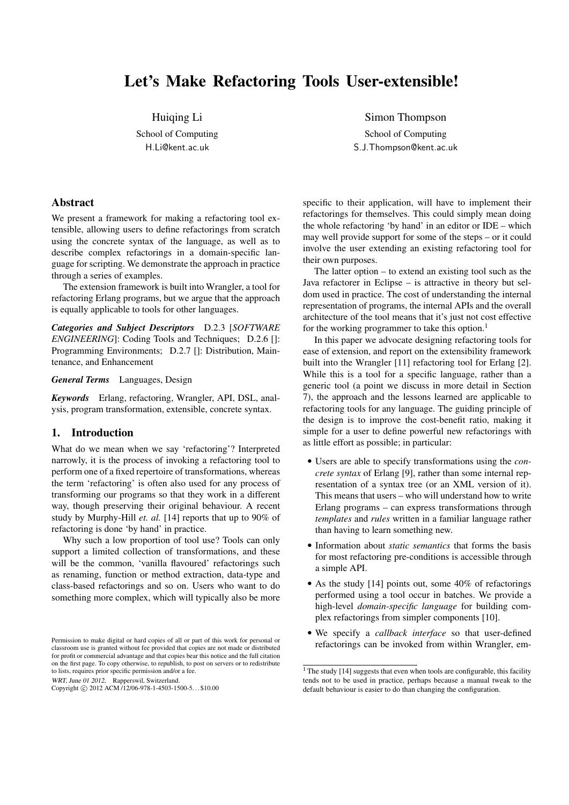### Let's Make Refactoring Tools User-extensible!

Huiqing Li

School of Computing H.Li@kent.ac.uk

Simon Thompson School of Computing S.J.Thompson@kent.ac.uk

#### Abstract

We present a framework for making a refactoring tool extensible, allowing users to define refactorings from scratch using the concrete syntax of the language, as well as to describe complex refactorings in a domain-specific language for scripting. We demonstrate the approach in practice through a series of examples.

The extension framework is built into Wrangler, a tool for refactoring Erlang programs, but we argue that the approach is equally applicable to tools for other languages.

*Categories and Subject Descriptors* D.2.3 [*SOFTWARE ENGINEERING*]: Coding Tools and Techniques; D.2.6 []: Programming Environments; D.2.7 []: Distribution, Maintenance, and Enhancement

*General Terms* Languages, Design

*Keywords* Erlang, refactoring, Wrangler, API, DSL, analysis, program transformation, extensible, concrete syntax.

#### 1. Introduction

What do we mean when we say 'refactoring'? Interpreted narrowly, it is the process of invoking a refactoring tool to perform one of a fixed repertoire of transformations, whereas the term 'refactoring' is often also used for any process of transforming our programs so that they work in a different way, though preserving their original behaviour. A recent study by Murphy-Hill *et. al.* [14] reports that up to 90% of refactoring is done 'by hand' in practice.

Why such a low proportion of tool use? Tools can only support a limited collection of transformations, and these will be the common, 'vanilla flavoured' refactorings such as renaming, function or method extraction, data-type and class-based refactorings and so on. Users who want to do something more complex, which will typically also be more

WRT, June 01 2012, Rapperswil, Switzerland.

specific to their application, will have to implement their refactorings for themselves. This could simply mean doing the whole refactoring 'by hand' in an editor or IDE – which may well provide support for some of the steps – or it could involve the user extending an existing refactoring tool for their own purposes.

The latter option – to extend an existing tool such as the Java refactorer in Eclipse – is attractive in theory but seldom used in practice. The cost of understanding the internal representation of programs, the internal APIs and the overall architecture of the tool means that it's just not cost effective for the working programmer to take this option.<sup>1</sup>

In this paper we advocate designing refactoring tools for ease of extension, and report on the extensibility framework built into the Wrangler [11] refactoring tool for Erlang [2]. While this is a tool for a specific language, rather than a generic tool (a point we discuss in more detail in Section 7), the approach and the lessons learned are applicable to refactoring tools for any language. The guiding principle of the design is to improve the cost-benefit ratio, making it simple for a user to define powerful new refactorings with as little effort as possible; in particular:

- Users are able to specify transformations using the *concrete syntax* of Erlang [9], rather than some internal representation of a syntax tree (or an XML version of it). This means that users – who will understand how to write Erlang programs – can express transformations through *templates* and *rules* written in a familiar language rather than having to learn something new.
- Information about *static semantics* that forms the basis for most refactoring pre-conditions is accessible through a simple API.
- As the study [14] points out, some 40% of refactorings performed using a tool occur in batches. We provide a high-level *domain-specific language* for building complex refactorings from simpler components [10].
- We specify a *callback interface* so that user-defined refactorings can be invoked from within Wrangler, em-

Permission to make digital or hard copies of all or part of this work for personal or classroom use is granted without fee provided that copies are not made or distributed for profit or commercial advantage and that copies bear this notice and the full citation on the first page. To copy otherwise, to republish, to post on servers or to redistribute to lists, requires prior specific permission and/or a fee.

Copyright © 2012 ACM /12/06-978-1-4503-1500-5... \$10.00

 $1$ <sup>1</sup> The study [14] suggests that even when tools are configurable, this facility tends not to be used in practice, perhaps because a manual tweak to the default behaviour is easier to do than changing the configuration.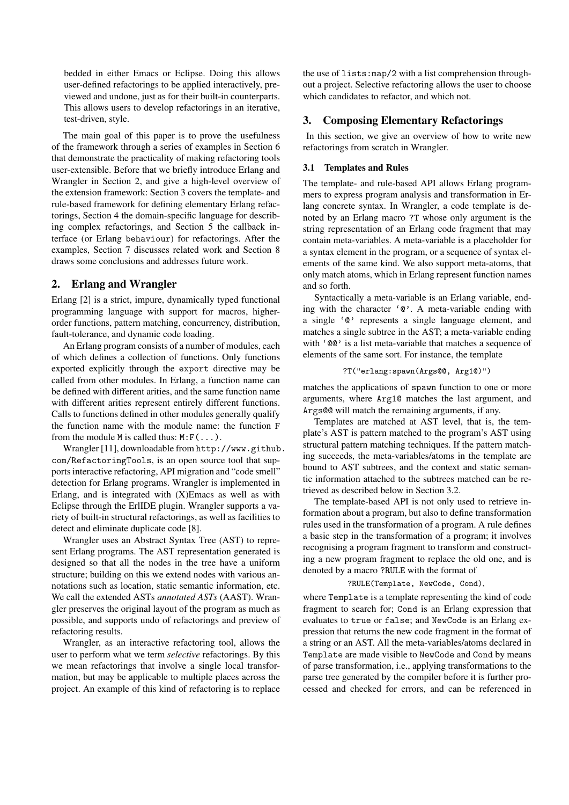bedded in either Emacs or Eclipse. Doing this allows user-defined refactorings to be applied interactively, previewed and undone, just as for their built-in counterparts. This allows users to develop refactorings in an iterative, test-driven, style.

The main goal of this paper is to prove the usefulness of the framework through a series of examples in Section 6 that demonstrate the practicality of making refactoring tools user-extensible. Before that we briefly introduce Erlang and Wrangler in Section 2, and give a high-level overview of the extension framework: Section 3 covers the template- and rule-based framework for defining elementary Erlang refactorings, Section 4 the domain-specific language for describing complex refactorings, and Section 5 the callback interface (or Erlang behaviour) for refactorings. After the examples, Section 7 discusses related work and Section 8 draws some conclusions and addresses future work.

#### 2. Erlang and Wrangler

Erlang [2] is a strict, impure, dynamically typed functional programming language with support for macros, higherorder functions, pattern matching, concurrency, distribution, fault-tolerance, and dynamic code loading.

An Erlang program consists of a number of modules, each of which defines a collection of functions. Only functions exported explicitly through the export directive may be called from other modules. In Erlang, a function name can be defined with different arities, and the same function name with different arities represent entirely different functions. Calls to functions defined in other modules generally qualify the function name with the module name: the function F from the module M is called thus:  $M: F(\ldots)$ .

Wrangler [11], downloadable from http://www.github. com/RefactoringTools, is an open source tool that supports interactive refactoring, API migration and "code smell" detection for Erlang programs. Wrangler is implemented in Erlang, and is integrated with (X)Emacs as well as with Eclipse through the ErlIDE plugin. Wrangler supports a variety of built-in structural refactorings, as well as facilities to detect and eliminate duplicate code [8].

Wrangler uses an Abstract Syntax Tree (AST) to represent Erlang programs. The AST representation generated is designed so that all the nodes in the tree have a uniform structure; building on this we extend nodes with various annotations such as location, static semantic information, etc. We call the extended ASTs *annotated ASTs* (AAST). Wrangler preserves the original layout of the program as much as possible, and supports undo of refactorings and preview of refactoring results.

Wrangler, as an interactive refactoring tool, allows the user to perform what we term *selective* refactorings. By this we mean refactorings that involve a single local transformation, but may be applicable to multiple places across the project. An example of this kind of refactoring is to replace the use of lists:map/2 with a list comprehension throughout a project. Selective refactoring allows the user to choose which candidates to refactor, and which not.

#### 3. Composing Elementary Refactorings

In this section, we give an overview of how to write new refactorings from scratch in Wrangler.

#### 3.1 Templates and Rules

The template- and rule-based API allows Erlang programmers to express program analysis and transformation in Erlang concrete syntax. In Wrangler, a code template is denoted by an Erlang macro ?T whose only argument is the string representation of an Erlang code fragment that may contain meta-variables. A meta-variable is a placeholder for a syntax element in the program, or a sequence of syntax elements of the same kind. We also support meta-atoms, that only match atoms, which in Erlang represent function names and so forth.

Syntactically a meta-variable is an Erlang variable, ending with the character '@'. A meta-variable ending with a single '@' represents a single language element, and matches a single subtree in the AST; a meta-variable ending with ' $@Q$ ' is a list meta-variable that matches a sequence of elements of the same sort. For instance, the template

#### ?T("erlang:spawn(Args@@, Arg1@)")

matches the applications of spawn function to one or more arguments, where Arg1@ matches the last argument, and Args@@ will match the remaining arguments, if any.

Templates are matched at AST level, that is, the template's AST is pattern matched to the program's AST using structural pattern matching techniques. If the pattern matching succeeds, the meta-variables/atoms in the template are bound to AST subtrees, and the context and static semantic information attached to the subtrees matched can be retrieved as described below in Section 3.2.

The template-based API is not only used to retrieve information about a program, but also to define transformation rules used in the transformation of a program. A rule defines a basic step in the transformation of a program; it involves recognising a program fragment to transform and constructing a new program fragment to replace the old one, and is denoted by a macro ?RULE with the format of

#### ?RULE(Template, NewCode, Cond),

where Template is a template representing the kind of code fragment to search for; Cond is an Erlang expression that evaluates to true or false; and NewCode is an Erlang expression that returns the new code fragment in the format of a string or an AST. All the meta-variables/atoms declared in Template are made visible to NewCode and Cond by means of parse transformation, i.e., applying transformations to the parse tree generated by the compiler before it is further processed and checked for errors, and can be referenced in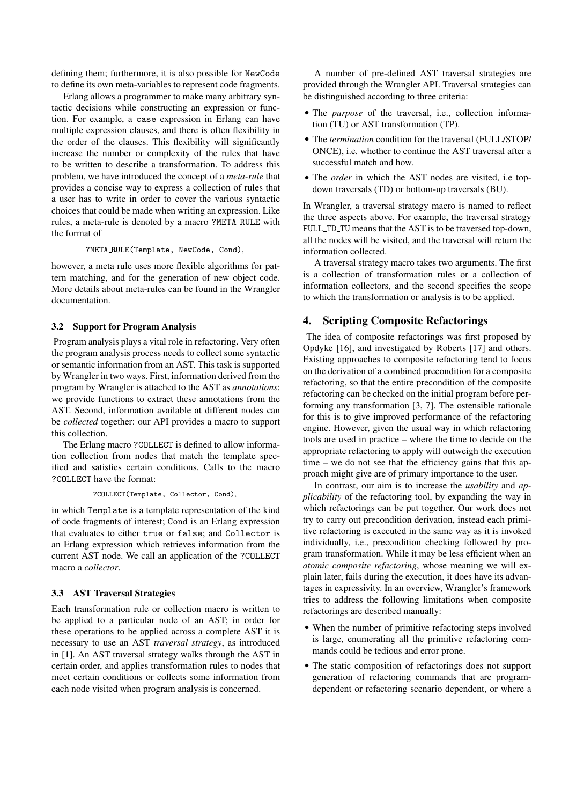defining them; furthermore, it is also possible for NewCode to define its own meta-variables to represent code fragments.

Erlang allows a programmer to make many arbitrary syntactic decisions while constructing an expression or function. For example, a case expression in Erlang can have multiple expression clauses, and there is often flexibility in the order of the clauses. This flexibility will significantly increase the number or complexity of the rules that have to be written to describe a transformation. To address this problem, we have introduced the concept of a *meta-rule* that provides a concise way to express a collection of rules that a user has to write in order to cover the various syntactic choices that could be made when writing an expression. Like rules, a meta-rule is denoted by a macro ?META RULE with the format of

?META RULE(Template, NewCode, Cond),

however, a meta rule uses more flexible algorithms for pattern matching, and for the generation of new object code. More details about meta-rules can be found in the Wrangler documentation.

#### 3.2 Support for Program Analysis

Program analysis plays a vital role in refactoring. Very often the program analysis process needs to collect some syntactic or semantic information from an AST. This task is supported by Wrangler in two ways. First, information derived from the program by Wrangler is attached to the AST as *annotations*: we provide functions to extract these annotations from the AST. Second, information available at different nodes can be *collected* together: our API provides a macro to support this collection.

The Erlang macro ?COLLECT is defined to allow information collection from nodes that match the template specified and satisfies certain conditions. Calls to the macro ?COLLECT have the format:

```
?COLLECT(Template, Collector, Cond),
```
in which Template is a template representation of the kind of code fragments of interest; Cond is an Erlang expression that evaluates to either true or false; and Collector is an Erlang expression which retrieves information from the current AST node. We call an application of the ?COLLECT macro a *collector*.

#### 3.3 AST Traversal Strategies

Each transformation rule or collection macro is written to be applied to a particular node of an AST; in order for these operations to be applied across a complete AST it is necessary to use an AST *traversal strategy*, as introduced in [1]. An AST traversal strategy walks through the AST in certain order, and applies transformation rules to nodes that meet certain conditions or collects some information from each node visited when program analysis is concerned.

A number of pre-defined AST traversal strategies are provided through the Wrangler API. Traversal strategies can be distinguished according to three criteria:

- The *purpose* of the traversal, i.e., collection information (TU) or AST transformation (TP).
- The *termination* condition for the traversal (FULL/STOP/ ONCE), i.e. whether to continue the AST traversal after a successful match and how.
- The *order* in which the AST nodes are visited, i.e topdown traversals (TD) or bottom-up traversals (BU).

In Wrangler, a traversal strategy macro is named to reflect the three aspects above. For example, the traversal strategy FULL TD TU means that the AST is to be traversed top-down, all the nodes will be visited, and the traversal will return the information collected.

A traversal strategy macro takes two arguments. The first is a collection of transformation rules or a collection of information collectors, and the second specifies the scope to which the transformation or analysis is to be applied.

#### 4. Scripting Composite Refactorings

The idea of composite refactorings was first proposed by Opdyke [16], and investigated by Roberts [17] and others. Existing approaches to composite refactoring tend to focus on the derivation of a combined precondition for a composite refactoring, so that the entire precondition of the composite refactoring can be checked on the initial program before performing any transformation [3, 7]. The ostensible rationale for this is to give improved performance of the refactoring engine. However, given the usual way in which refactoring tools are used in practice – where the time to decide on the appropriate refactoring to apply will outweigh the execution time – we do not see that the efficiency gains that this approach might give are of primary importance to the user.

In contrast, our aim is to increase the *usability* and *applicability* of the refactoring tool, by expanding the way in which refactorings can be put together. Our work does not try to carry out precondition derivation, instead each primitive refactoring is executed in the same way as it is invoked individually, i.e., precondition checking followed by program transformation. While it may be less efficient when an *atomic composite refactoring*, whose meaning we will explain later, fails during the execution, it does have its advantages in expressivity. In an overview, Wrangler's framework tries to address the following limitations when composite refactorings are described manually:

- When the number of primitive refactoring steps involved is large, enumerating all the primitive refactoring commands could be tedious and error prone.
- The static composition of refactorings does not support generation of refactoring commands that are programdependent or refactoring scenario dependent, or where a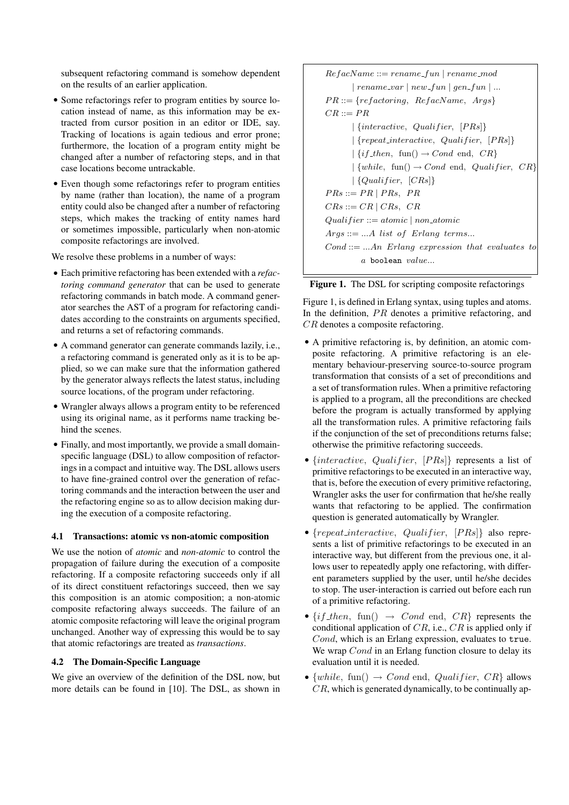subsequent refactoring command is somehow dependent on the results of an earlier application.

- Some refactorings refer to program entities by source location instead of name, as this information may be extracted from cursor position in an editor or IDE, say. Tracking of locations is again tedious and error prone; furthermore, the location of a program entity might be changed after a number of refactoring steps, and in that case locations become untrackable.
- Even though some refactorings refer to program entities by name (rather than location), the name of a program entity could also be changed after a number of refactoring steps, which makes the tracking of entity names hard or sometimes impossible, particularly when non-atomic composite refactorings are involved.

We resolve these problems in a number of ways:

- Each primitive refactoring has been extended with a *refactoring command generator* that can be used to generate refactoring commands in batch mode. A command generator searches the AST of a program for refactoring candidates according to the constraints on arguments specified, and returns a set of refactoring commands.
- A command generator can generate commands lazily, i.e., a refactoring command is generated only as it is to be applied, so we can make sure that the information gathered by the generator always reflects the latest status, including source locations, of the program under refactoring.
- Wrangler always allows a program entity to be referenced using its original name, as it performs name tracking behind the scenes.
- Finally, and most importantly, we provide a small domainspecific language (DSL) to allow composition of refactorings in a compact and intuitive way. The DSL allows users to have fine-grained control over the generation of refactoring commands and the interaction between the user and the refactoring engine so as to allow decision making during the execution of a composite refactoring.

#### 4.1 Transactions: atomic vs non-atomic composition

We use the notion of *atomic* and *non-atomic* to control the propagation of failure during the execution of a composite refactoring. If a composite refactoring succeeds only if all of its direct constituent refactorings succeed, then we say this composition is an atomic composition; a non-atomic composite refactoring always succeeds. The failure of an atomic composite refactoring will leave the original program unchanged. Another way of expressing this would be to say that atomic refactorings are treated as *transactions*.

#### 4.2 The Domain-Specific Language

We give an overview of the definition of the DSL now, but more details can be found in [10]. The DSL, as shown in

 $RefacName ::= rename\_fun | rename\_mod$  $\vert$  rename\_var  $\vert$  new\_fun  $\vert$  gen\_fun  $\vert$  ...  $PR ::= {refactoring, RefacName, Args}$  $CR ::= PR$  $\{$  {interactive, Qualifier,  $[PRs]$ } | {repeat interactive, Qualifier, [PRs]}  $| \{if\_then, \text{ fun}() \rightarrow Cond \text{ end}, \text{ CR} \}$ |  $\{while, \, \, \text{fun}() \rightarrow Cond \, \, \text{end}, \, \, \text{Qualifier}, \, \, \text{CR}\}$  $\{$ Qualifier,  $[CRs]$  $PRs ::= PR | PRs, PR$  $CRs ::= CR \, | \, CRs, \, CR$  $Qualifier ::= atomic \mid non\_atomic$  $Args ::= ... A list of Erlang terms...$  $Cond ::= ... An Erlang expression that evaluates to$ a boolean value...



Figure 1, is defined in Erlang syntax, using tuples and atoms. In the definition, PR denotes a primitive refactoring, and CR denotes a composite refactoring.

- A primitive refactoring is, by definition, an atomic composite refactoring. A primitive refactoring is an elementary behaviour-preserving source-to-source program transformation that consists of a set of preconditions and a set of transformation rules. When a primitive refactoring is applied to a program, all the preconditions are checked before the program is actually transformed by applying all the transformation rules. A primitive refactoring fails if the conjunction of the set of preconditions returns false; otherwise the primitive refactoring succeeds.
- {*interactive, Qualifier,*  $[PRs]$ } represents a list of primitive refactorings to be executed in an interactive way, that is, before the execution of every primitive refactoring, Wrangler asks the user for confirmation that he/she really wants that refactoring to be applied. The confirmation question is generated automatically by Wrangler.
- {repeat interactive, Qualifier, [PRs]} also represents a list of primitive refactorings to be executed in an interactive way, but different from the previous one, it allows user to repeatedly apply one refactoring, with different parameters supplied by the user, until he/she decides to stop. The user-interaction is carried out before each run of a primitive refactoring.
- $\{if\_then, \text{ fun}() \rightarrow Cond \text{ end}, \text{ CR}\}$  represents the conditional application of  $CR$ , i.e.,  $CR$  is applied only if Cond, which is an Erlang expression, evaluates to true. We wrap Cond in an Erlang function closure to delay its evaluation until it is needed.
- {while, fun()  $\rightarrow$  Cond end, Qualifier, CR} allows  $CR$ , which is generated dynamically, to be continually ap-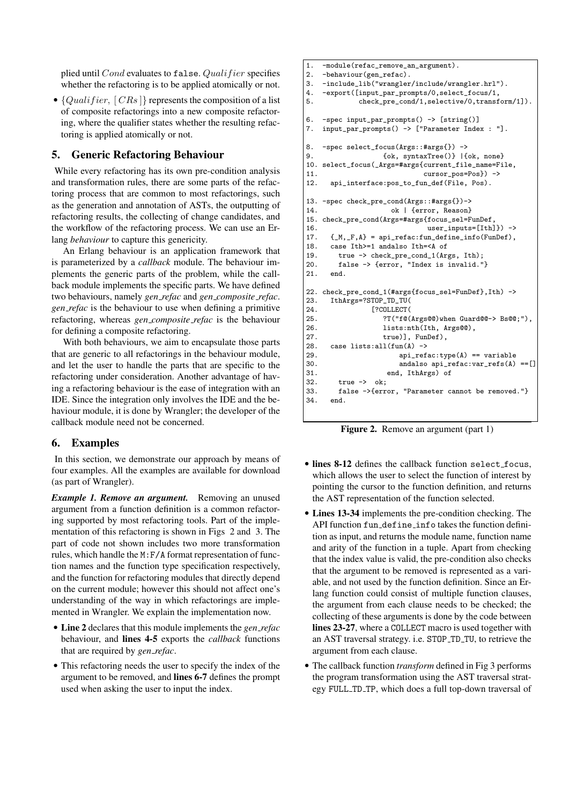plied until Cond evaluates to false. Qualifier specifies whether the refactoring is to be applied atomically or not.

•  ${Quality: [CRs]}$  represents the composition of a list of composite refactorings into a new composite refactoring, where the qualifier states whether the resulting refactoring is applied atomically or not.

#### 5. Generic Refactoring Behaviour

While every refactoring has its own pre-condition analysis and transformation rules, there are some parts of the refactoring process that are common to most refactorings, such as the generation and annotation of ASTs, the outputting of refactoring results, the collecting of change candidates, and the workflow of the refactoring process. We can use an Erlang *behaviour* to capture this genericity.

An Erlang behaviour is an application framework that is parameterized by a *callback* module. The behaviour implements the generic parts of the problem, while the callback module implements the specific parts. We have defined two behaviours, namely *gen refac* and *gen composite refac*. *gen refac* is the behaviour to use when defining a primitive refactoring, whereas *gen composite refac* is the behaviour for defining a composite refactoring.

With both behaviours, we aim to encapsulate those parts that are generic to all refactorings in the behaviour module, and let the user to handle the parts that are specific to the refactoring under consideration. Another advantage of having a refactoring behaviour is the ease of integration with an IDE. Since the integration only involves the IDE and the behaviour module, it is done by Wrangler; the developer of the callback module need not be concerned.

#### 6. Examples

In this section, we demonstrate our approach by means of four examples. All the examples are available for download (as part of Wrangler).

*Example 1. Remove an argument.* Removing an unused argument from a function definition is a common refactoring supported by most refactoring tools. Part of the implementation of this refactoring is shown in Figs 2 and 3. The part of code not shown includes two more transformation rules, which handle the M:F/A format representation of function names and the function type specification respectively, and the function for refactoring modules that directly depend on the current module; however this should not affect one's understanding of the way in which refactorings are implemented in Wrangler. We explain the implementation now.

- Line 2 declares that this module implements the *gen refac* behaviour, and lines 4-5 exports the *callback* functions that are required by *gen refac*.
- This refactoring needs the user to specify the index of the argument to be removed, and lines 6-7 defines the prompt used when asking the user to input the index.

```
1. -module(refac_remove_an_argument).
2. -behaviour(gen_refac)<br>3. -include_lib("wrangler
    -include_lib("wrangler/include/wrangler.hrl").
4. -export([input_par_prompts/0,select_focus/1,<br>5. check_pre_cond/1,selective/0,transf
              check pre cond/1,selective/0,transform/1]).
6. -spec input_par_prompts() -> [string()]
7. input_par_prompts() -> ["Parameter Index : "].
8. -spec select_focus(Args::#args{}) -><br>9. {6k, syntaxTree()} [6]
                     9. {ok, syntaxTree()} |{ok, none}
10. select_focus(_Args=#args{current_file_name=File,
11. cursor_pos=Pos}) -><br>12. api_interface:pos_to_fun_def(File, Pos).
      api_interface:pos_to_fun_def(File, Pos).
13. -spec check_pre_cond(Args::#args{})->
14. ok | {error, Reason}
15. check_pre_cond(Args=#args{focus_sel=FunDef,<br>16. user_inputs=[Ith]
                                user_inputs=[Ith]}) ->
17. {M, F, A} = \text{api\_refac:fun\_define\_info(FunDef)},<br>18. case Ith>=1 and also Ith=<A of
      case Ith>=1 andalso Ith=<A of
19. true -> check_pre_cond_1(Args, Ith);
20. false -> {error, "Index is invalid."}
21. end.
22. check_pre_cond_1(#args{focus_sel=FunDef},Ith) ->
23. IthArgs=?STOP_TD_TU(
24. [?COLLECT(
                     25. ?T("f@(Args@@)when Guard@@-> Bs@@;"),
26. lists:nth(Ith, Args@@),
27. true)], FunDef),
28. case lists:all(fun(A) \rightarrow29. api_refac:type(A) == variable
30. andalso api_refac:var_refs(A) ==[]
31. end, IthArgs) of
32. true \rightarrow ok;<br>33. false \rightarrow {err
        false ->{error, "Parameter cannot be removed."}
34. end.
```
Figure 2. Remove an argument (part 1)

- lines 8-12 defines the callback function select\_focus, which allows the user to select the function of interest by pointing the cursor to the function definition, and returns the AST representation of the function selected.
- Lines 13-34 implements the pre-condition checking. The API function fun define info takes the function definition as input, and returns the module name, function name and arity of the function in a tuple. Apart from checking that the index value is valid, the pre-condition also checks that the argument to be removed is represented as a variable, and not used by the function definition. Since an Erlang function could consist of multiple function clauses, the argument from each clause needs to be checked; the collecting of these arguments is done by the code between lines 23-27, where a COLLECT macro is used together with an AST traversal strategy. i.e. STOP\_TD\_TU, to retrieve the argument from each clause.
- The callback function *transform* defined in Fig 3 performs the program transformation using the AST traversal strategy FULL\_TD\_TP, which does a full top-down traversal of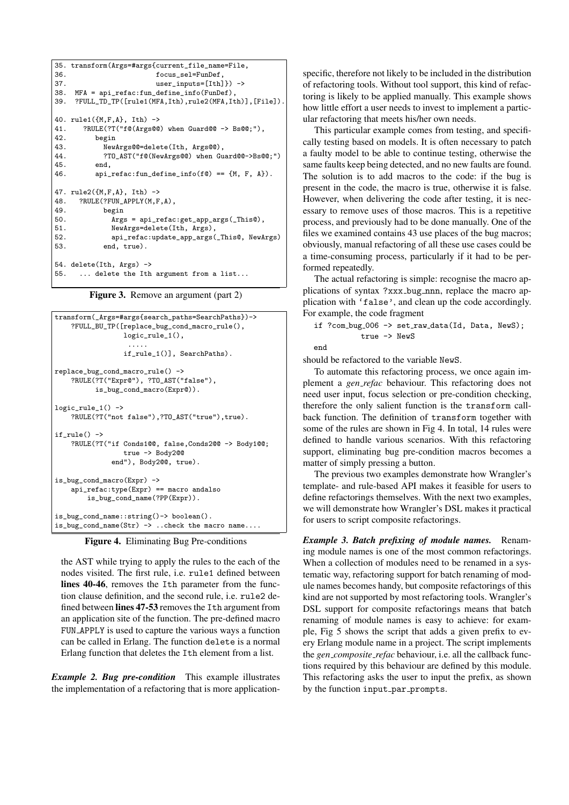```
35. transform(Args=#args{current_file_name=File,
36. focus_sel=FunDef<br>37. user_inputs=[Ith]
                           user_inputs=[Ith]}) ->
38. MFA = api_refac:fun_define_info(FunDef),
39. ?FULL_TD_TP([rule1(MFA,Ith),rule2(MFA,Ith)],[File]).
40. rule1({M,F,A}, Ith) ->
41. ?RULE(?T("f@(Args@@) when Guard@@ -> Bs@@;"),
42. begin
43. NewArgs@@=delete(Ith, Args@@),<br>44. 7TO AST("f@(NewArgs@@) when G:
             ?TO_AST("f@(NewArgs@@) when Guard@@->Bs@@;")
45. end,<br>46. api_
           api_refac:fun_define_info(f@) == {M, F, A}.47. rule2({M,F,A}, Ith) ->
48. ?RULE(?FUN_APPLY(M,F,A),
49. begin<br>50. Args
50. <br>
Args = api_refac:get_app_args(_This@),<br>
51 MewArgs=delete(Ith Args)
               NewArgs=delete(Ith, Args),
52. api_refac:update_app_args(_This@, NewArgs)<br>53. end. true).
             end, true).
54. delete(Ith, Args) ->
55. ... delete the Ith argument from a list...
```
Figure 3. Remove an argument (part 2)

```
transform(_Args=#args{search_paths=SearchPaths})->
    ?FULL_BU_TP([replace_bug_cond_macro_rule(),
                  logic_rule_1(),
                   .....
                  if_rule_1()], SearchPaths).
replace_bug_cond_macro_rule() ->
    ?RULE(?T("Expr@"), ?TO_AST("false"),
          is_bug_cond_macro(Expr@)).
logic rule 1() \rightarrow?RULE(?T("not false"),?TO_AST("true"),true).
if rule() \rightarrow?RULE(?T("if Conds1@@, false,Conds2@@ -> Body1@@;
                  true -> Body2@@
              end"), Body2@@, true).
is_bug_cond_macro(Expr) ->
    api_refac:type(Expr) == macro andalso
        is_bug_cond_name(?PP(Expr)).
is_bug_cond_name::string()-> boolean().
is_bug_cond_name(Str) \rightarrow ..check the macro name....
```
Figure 4. Eliminating Bug Pre-conditions

the AST while trying to apply the rules to the each of the nodes visited. The first rule, i.e. rule1 defined between lines 40-46, removes the Ith parameter from the function clause definition, and the second rule, i.e. rule2 defined between lines 47-53 removes the Ith argument from an application site of the function. The pre-defined macro FUN APPLY is used to capture the various ways a function can be called in Erlang. The function delete is a normal Erlang function that deletes the Ith element from a list.

*Example 2. Bug pre-condition* This example illustrates the implementation of a refactoring that is more applicationspecific, therefore not likely to be included in the distribution of refactoring tools. Without tool support, this kind of refactoring is likely to be applied manually. This example shows how little effort a user needs to invest to implement a particular refactoring that meets his/her own needs.

This particular example comes from testing, and specifically testing based on models. It is often necessary to patch a faulty model to be able to continue testing, otherwise the same faults keep being detected, and no new faults are found. The solution is to add macros to the code: if the bug is present in the code, the macro is true, otherwise it is false. However, when delivering the code after testing, it is necessary to remove uses of those macros. This is a repetitive process, and previously had to be done manually. One of the files we examined contains 43 use places of the bug macros; obviously, manual refactoring of all these use cases could be a time-consuming process, particularly if it had to be performed repeatedly.

The actual refactoring is simple: recognise the macro applications of syntax ?xxx\_bug\_nnn, replace the macro application with 'false', and clean up the code accordingly. For example, the code fragment

```
if ?com_bug_006 -> set_raw_data(Id, Data, NewS);
          true -> NewS
```
end

should be refactored to the variable NewS.

To automate this refactoring process, we once again implement a *gen refac* behaviour. This refactoring does not need user input, focus selection or pre-condition checking, therefore the only salient function is the transform callback function. The definition of transform together with some of the rules are shown in Fig 4. In total, 14 rules were defined to handle various scenarios. With this refactoring support, eliminating bug pre-condition macros becomes a matter of simply pressing a button.

The previous two examples demonstrate how Wrangler's template- and rule-based API makes it feasible for users to define refactorings themselves. With the next two examples, we will demonstrate how Wrangler's DSL makes it practical for users to script composite refactorings.

*Example 3. Batch prefixing of module names.* Renaming module names is one of the most common refactorings. When a collection of modules need to be renamed in a systematic way, refactoring support for batch renaming of module names becomes handy, but composite refactorings of this kind are not supported by most refactoring tools. Wrangler's DSL support for composite refactorings means that batch renaming of module names is easy to achieve: for example, Fig 5 shows the script that adds a given prefix to every Erlang module name in a project. The script implements the *gen composite refac* behaviour, i.e. all the callback functions required by this behaviour are defined by this module. This refactoring asks the user to input the prefix, as shown by the function input par prompts.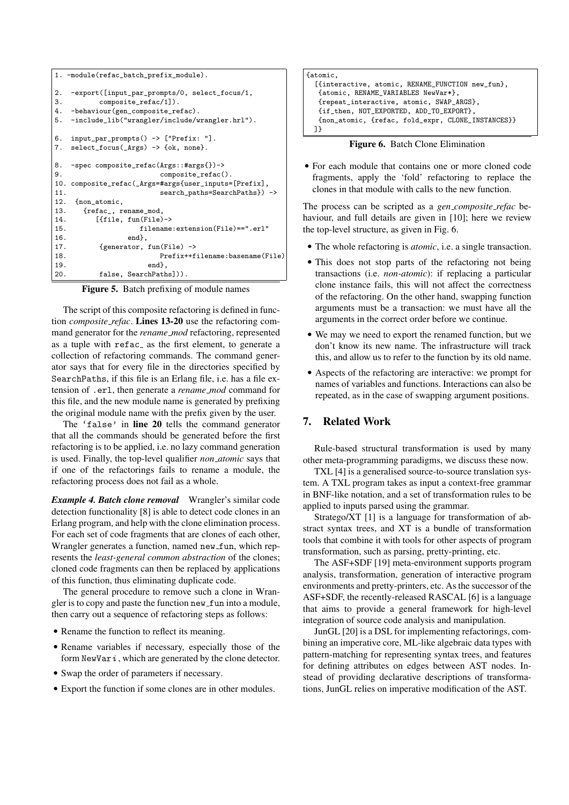```
1. -module(refac_batch_prefix_module).
2. -export([input_par_prompts/0, select_focus/1,
3. composite_refac/1]).
4. -behaviour(gen_composite_refac).
5. -include_lib("wrangler/include/wrangler.hrl").
6. input_par_prompts() -> ["Prefix: "].
7. select_focus(_Args) -> {ok, none}.
8. -spec composite_refac(Args::#args{})->
9. composite_refac().
10. composite_refac(_Args=#args{user_inputs=[Prefix],<br>11. search_paths=SearchPaths})
                        search_paths=SearchPaths}) ->
12. {non_atomic,
13. {refac_, rename_mod,
14. [{file, fun(File)->
15. filename:extension(File)==".erl"
16. end},
17. {generator, fun(File) ->
18. Prefix++filename:basename(File)<br>19. end}.
                     end},
20. false, SearchPaths])).
```
Figure 5. Batch prefixing of module names

The script of this composite refactoring is defined in function *composite refac*. Lines 13-20 use the refactoring command generator for the *rename mod* refactoring, represented as a tuple with refac\_ as the first element, to generate a collection of refactoring commands. The command generator says that for every file in the directories specified by SearchPaths, if this file is an Erlang file, i.e. has a file extension of .erl, then generate a *rename mod* command for this file, and the new module name is generated by prefixing the original module name with the prefix given by the user.

The 'false' in line 20 tells the command generator that all the commands should be generated before the first refactoring is to be applied, i.e. no lazy command generation is used. Finally, the top-level qualifier *non atomic* says that if one of the refactorings fails to rename a module, the refactoring process does not fail as a whole.

*Example 4. Batch clone removal* Wrangler's similar code detection functionality [8] is able to detect code clones in an Erlang program, and help with the clone elimination process. For each set of code fragments that are clones of each other, Wrangler generates a function, named new\_fun, which represents the *least-general common abstraction* of the clones; cloned code fragments can then be replaced by applications of this function, thus eliminating duplicate code.

The general procedure to remove such a clone in Wrangler is to copy and paste the function new\_fun into a module, then carry out a sequence of refactoring steps as follows:

- Rename the function to reflect its meaning.
- Rename variables if necessary, especially those of the form  $NewVar i$ , which are generated by the clone detector.
- Swap the order of parameters if necessary.
- Export the function if some clones are in other modules.

```
{atomic,
 [{interactive, atomic, RENAME_FUNCTION new_fun},
  {atomic, RENAME_VARIABLES NewVar*},
  {repeat_interactive, atomic, SWAP_ARGS},
  {if_then, NOT_EXPORTED, ADD_TO_EXPORT},
  {non_atomic, {refac, fold_expr, CLONE_INSTANCES}}
 ]}
```
Figure 6. Batch Clone Elimination

• For each module that contains one or more cloned code fragments, apply the 'fold' refactoring to replace the clones in that module with calls to the new function.

The process can be scripted as a *gen composite refac* behaviour, and full details are given in [10]; here we review the top-level structure, as given in Fig. 6.

- The whole refactoring is *atomic*, i.e. a single transaction.
- This does not stop parts of the refactoring not being transactions (i.e. *non-atomic*): if replacing a particular clone instance fails, this will not affect the correctness of the refactoring. On the other hand, swapping function arguments must be a transaction: we must have all the arguments in the correct order before we continue.
- We may we need to export the renamed function, but we don't know its new name. The infrastructure will track this, and allow us to refer to the function by its old name.
- Aspects of the refactoring are interactive: we prompt for names of variables and functions. Interactions can also be repeated, as in the case of swapping argument positions.

#### 7. Related Work

Rule-based structural transformation is used by many other meta-programming paradigms, we discuss these now.

TXL [4] is a generalised source-to-source translation system. A TXL program takes as input a context-free grammar in BNF-like notation, and a set of transformation rules to be applied to inputs parsed using the grammar.

Stratego/XT [1] is a language for transformation of abstract syntax trees, and XT is a bundle of transformation tools that combine it with tools for other aspects of program transformation, such as parsing, pretty-printing, etc.

The ASF+SDF [19] meta-environment supports program analysis, transformation, generation of interactive program environments and pretty-printers, etc. As the successor of the ASF+SDF, the recently-released RASCAL [6] is a language that aims to provide a general framework for high-level integration of source code analysis and manipulation.

JunGL [20] is a DSL for implementing refactorings, combining an imperative core, ML-like algebraic data types with pattern-matching for representing syntax trees, and features for defining attributes on edges between AST nodes. Instead of providing declarative descriptions of transformations, JunGL relies on imperative modification of the AST.